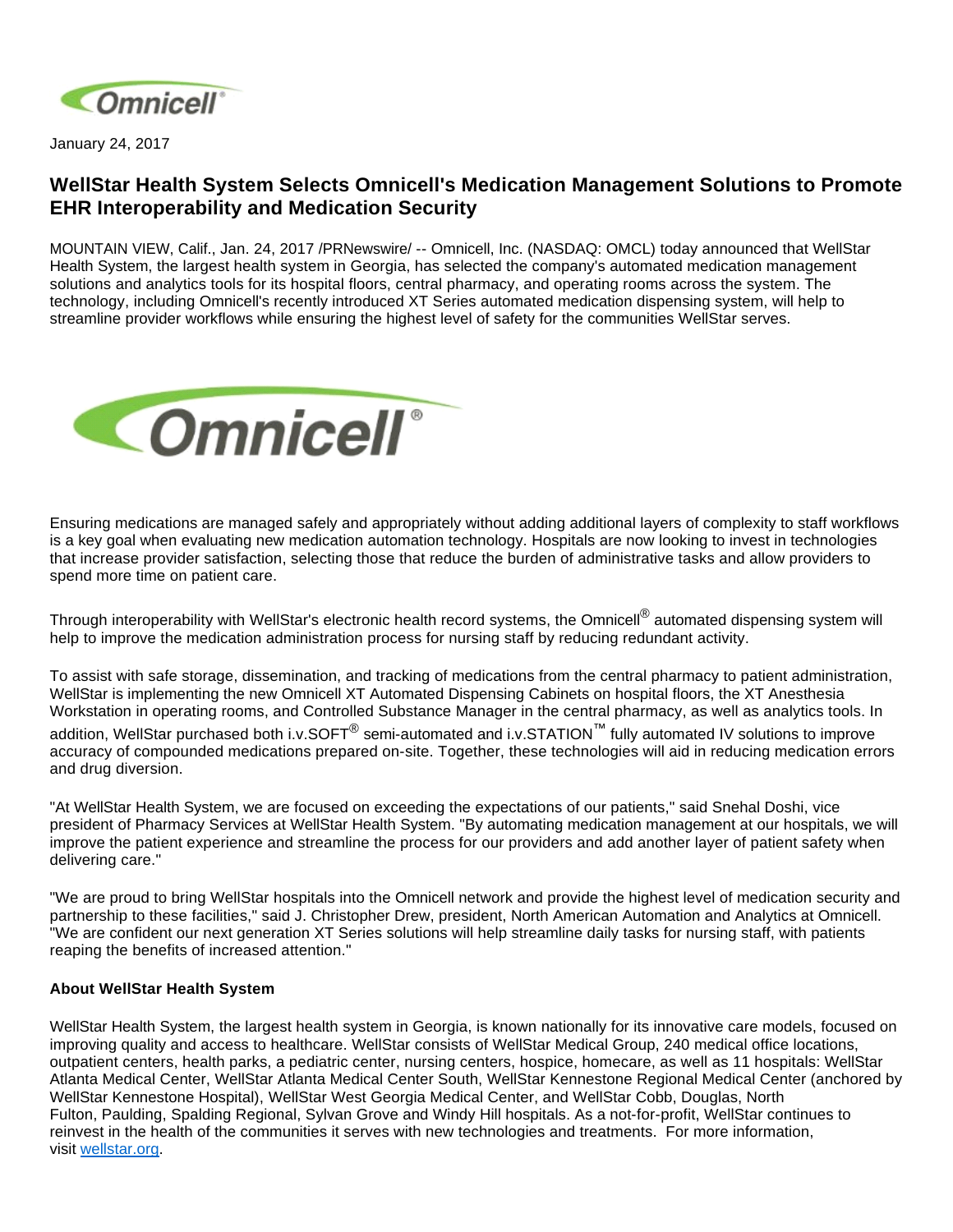

January 24, 2017

## **WellStar Health System Selects Omnicell's Medication Management Solutions to Promote EHR Interoperability and Medication Security**

MOUNTAIN VIEW, Calif., Jan. 24, 2017 /PRNewswire/ -- Omnicell, Inc. (NASDAQ: OMCL) today announced that WellStar Health System, the largest health system in Georgia, has selected the company's automated medication management solutions and analytics tools for its hospital floors, central pharmacy, and operating rooms across the system. The technology, including Omnicell's recently introduced XT Series automated medication dispensing system, will help to streamline provider workflows while ensuring the highest level of safety for the communities WellStar serves.



Ensuring medications are managed safely and appropriately without adding additional layers of complexity to staff workflows is a key goal when evaluating new medication automation technology. Hospitals are now looking to invest in technologies that increase provider satisfaction, selecting those that reduce the burden of administrative tasks and allow providers to spend more time on patient care.

Through interoperability with WellStar's electronic health record systems, the Omnicell $^\circledR$  automated dispensing system will help to improve the medication administration process for nursing staff by reducing redundant activity.

To assist with safe storage, dissemination, and tracking of medications from the central pharmacy to patient administration, WellStar is implementing the new Omnicell XT Automated Dispensing Cabinets on hospital floors, the XT Anesthesia Workstation in operating rooms, and Controlled Substance Manager in the central pharmacy, as well as analytics tools. In addition, WellStar purchased both i.v.SOFT<sup>®</sup> semi-automated and i.v.STATION™ fully automated IV solutions to improve accuracy of compounded medications prepared on-site. Together, these technologies will aid in reducing medication errors and drug diversion.

"At WellStar Health System, we are focused on exceeding the expectations of our patients," said Snehal Doshi, vice president of Pharmacy Services at WellStar Health System. "By automating medication management at our hospitals, we will improve the patient experience and streamline the process for our providers and add another layer of patient safety when delivering care."

"We are proud to bring WellStar hospitals into the Omnicell network and provide the highest level of medication security and partnership to these facilities," said J. Christopher Drew, president, North American Automation and Analytics at Omnicell. "We are confident our next generation XT Series solutions will help streamline daily tasks for nursing staff, with patients reaping the benefits of increased attention."

## **About WellStar Health System**

WellStar Health System, the largest health system in Georgia, is known nationally for its innovative care models, focused on improving quality and access to healthcare. WellStar consists of WellStar Medical Group, 240 medical office locations, outpatient centers, health parks, a pediatric center, nursing centers, hospice, homecare, as well as 11 hospitals: WellStar Atlanta Medical Center, WellStar Atlanta Medical Center South, WellStar Kennestone Regional Medical Center (anchored by WellStar Kennestone Hospital), WellStar West Georgia Medical Center, and WellStar Cobb, Douglas, North Fulton, Paulding, Spalding Regional, Sylvan Grove and Windy Hill hospitals. As a not-for-profit, WellStar continues to reinvest in the health of the communities it serves with new technologies and treatments. For more information, visit [wellstar.org](http://wellstar.org/).